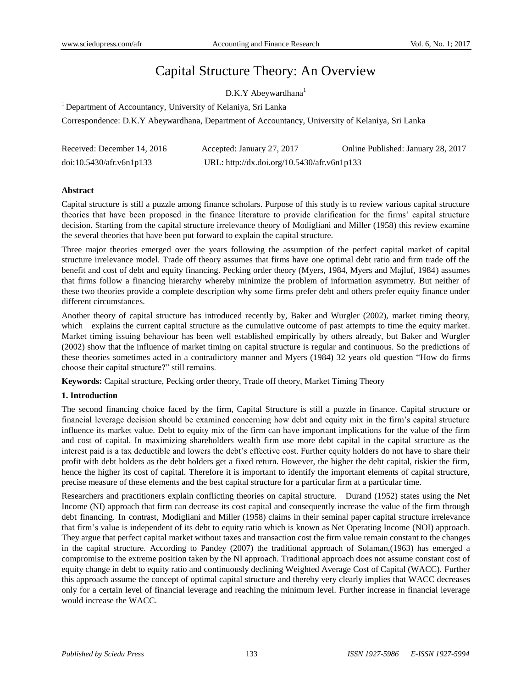# Capital Structure Theory: An Overview

D.K.Y Abeywardhana<sup>1</sup>

<sup>1</sup> Department of Accountancy, University of Kelaniya, Sri Lanka

Correspondence: D.K.Y Abeywardhana, Department of Accountancy, University of Kelaniya, Sri Lanka

| Received: December 14, 2016 | Accepted: January 27, 2017                  | Online Published: January 28, 2017 |
|-----------------------------|---------------------------------------------|------------------------------------|
| doi:10.5430/afr.v6n1p133    | URL: http://dx.doi.org/10.5430/afr.v6n1p133 |                                    |

## **Abstract**

Capital structure is still a puzzle among finance scholars. Purpose of this study is to review various capital structure theories that have been proposed in the finance literature to provide clarification for the firms' capital structure decision. Starting from the capital structure irrelevance theory of Modigliani and Miller (1958) this review examine the several theories that have been put forward to explain the capital structure.

Three major theories emerged over the years following the assumption of the perfect capital market of capital structure irrelevance model. Trade off theory assumes that firms have one optimal debt ratio and firm trade off the benefit and cost of debt and equity financing. Pecking order theory (Myers, 1984, Myers and Majluf, 1984) assumes that firms follow a financing hierarchy whereby minimize the problem of information asymmetry. But neither of these two theories provide a complete description why some firms prefer debt and others prefer equity finance under different circumstances.

Another theory of capital structure has introduced recently by, Baker and Wurgler (2002), market timing theory, which explains the current capital structure as the cumulative outcome of past attempts to time the equity market. Market timing issuing behaviour has been well established empirically by others already, but Baker and Wurgler (2002) show that the influence of market timing on capital structure is regular and continuous. So the predictions of these theories sometimes acted in a contradictory manner and Myers (1984) 32 years old question "How do firms choose their capital structure?" still remains.

**Keywords:** Capital structure, Pecking order theory, Trade off theory, Market Timing Theory

# **1. Introduction**

The second financing choice faced by the firm, Capital Structure is still a puzzle in finance. Capital structure or financial leverage decision should be examined concerning how debt and equity mix in the firm's capital structure influence its market value. Debt to equity mix of the firm can have important implications for the value of the firm and cost of capital. In maximizing shareholders wealth firm use more debt capital in the capital structure as the interest paid is a tax deductible and lowers the debt's effective cost. Further equity holders do not have to share their profit with debt holders as the debt holders get a fixed return. However, the higher the debt capital, riskier the firm, hence the higher its cost of capital. Therefore it is important to identify the important elements of capital structure, precise measure of these elements and the best capital structure for a particular firm at a particular time.

Researchers and practitioners explain conflicting theories on capital structure. Durand (1952) states using the Net Income (NI) approach that firm can decrease its cost capital and consequently increase the value of the firm through debt financing. In contrast, Modigliani and Miller (1958) claims in their seminal paper capital structure irrelevance that firm's value is independent of its debt to equity ratio which is known as Net Operating Income (NOI) approach. They argue that perfect capital market without taxes and transaction cost the firm value remain constant to the changes in the capital structure. According to Pandey (2007) the traditional approach of Solaman,(1963) has emerged a compromise to the extreme position taken by the NI approach. Traditional approach does not assume constant cost of equity change in debt to equity ratio and continuously declining Weighted Average Cost of Capital (WACC). Further this approach assume the concept of optimal capital structure and thereby very clearly implies that WACC decreases only for a certain level of financial leverage and reaching the minimum level. Further increase in financial leverage would increase the WACC.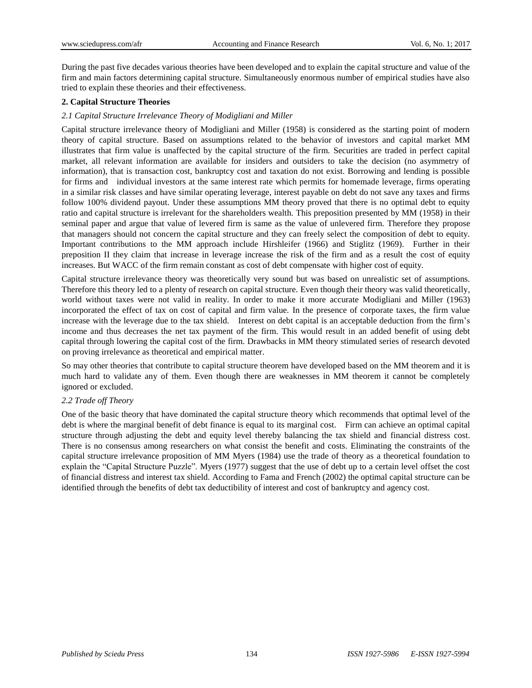During the past five decades various theories have been developed and to explain the capital structure and value of the firm and main factors determining capital structure. Simultaneously enormous number of empirical studies have also tried to explain these theories and their effectiveness.

## **2. Capital Structure Theories**

### *2.1 Capital Structure Irrelevance Theory of Modigliani and Miller*

Capital structure irrelevance theory of Modigliani and Miller (1958) is considered as the starting point of modern theory of capital structure. Based on assumptions related to the behavior of investors and capital market MM illustrates that firm value is unaffected by the capital structure of the firm. Securities are traded in perfect capital market, all relevant information are available for insiders and outsiders to take the decision (no asymmetry of information), that is transaction cost, bankruptcy cost and taxation do not exist. Borrowing and lending is possible for firms and individual investors at the same interest rate which permits for homemade leverage, firms operating in a similar risk classes and have similar operating leverage, interest payable on debt do not save any taxes and firms follow 100% dividend payout. Under these assumptions MM theory proved that there is no optimal debt to equity ratio and capital structure is irrelevant for the shareholders wealth. This preposition presented by MM (1958) in their seminal paper and argue that value of levered firm is same as the value of unlevered firm. Therefore they propose that managers should not concern the capital structure and they can freely select the composition of debt to equity. Important contributions to the MM approach include Hirshleifer (1966) and Stiglitz (1969). Further in their preposition II they claim that increase in leverage increase the risk of the firm and as a result the cost of equity increases. But WACC of the firm remain constant as cost of debt compensate with higher cost of equity.

Capital structure irrelevance theory was theoretically very sound but was based on unrealistic set of assumptions. Therefore this theory led to a plenty of research on capital structure. Even though their theory was valid theoretically, world without taxes were not valid in reality. In order to make it more accurate Modigliani and Miller (1963) incorporated the effect of tax on cost of capital and firm value. In the presence of corporate taxes, the firm value increase with the leverage due to the tax shield. Interest on debt capital is an acceptable deduction from the firm's income and thus decreases the net tax payment of the firm. This would result in an added benefit of using debt capital through lowering the capital cost of the firm. Drawbacks in MM theory stimulated series of research devoted on proving irrelevance as theoretical and empirical matter.

So may other theories that contribute to capital structure theorem have developed based on the MM theorem and it is much hard to validate any of them. Even though there are weaknesses in MM theorem it cannot be completely ignored or excluded.

#### *2.2 Trade off Theory*

One of the basic theory that have dominated the capital structure theory which recommends that optimal level of the debt is where the marginal benefit of debt finance is equal to its marginal cost. Firm can achieve an optimal capital structure through adjusting the debt and equity level thereby balancing the tax shield and financial distress cost. There is no consensus among researchers on what consist the benefit and costs. Eliminating the constraints of the capital structure irrelevance proposition of MM Myers (1984) use the trade of theory as a theoretical foundation to explain the "Capital Structure Puzzle". Myers (1977) suggest that the use of debt up to a certain level offset the cost of financial distress and interest tax shield. According to Fama and French (2002) the optimal capital structure can be identified through the benefits of debt tax deductibility of interest and cost of bankruptcy and agency cost.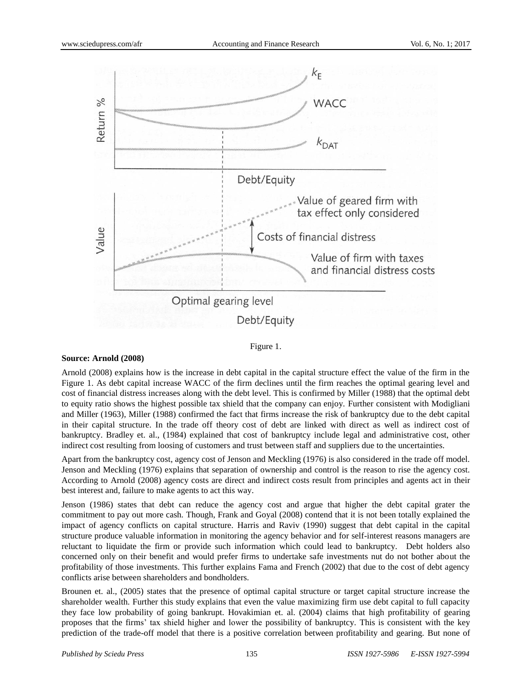

## Figure 1.

#### **Source: Arnold (2008)**

Arnold (2008) explains how is the increase in debt capital in the capital structure effect the value of the firm in the Figure 1. As debt capital increase WACC of the firm declines until the firm reaches the optimal gearing level and cost of financial distress increases along with the debt level. This is confirmed by Miller (1988) that the optimal debt to equity ratio shows the highest possible tax shield that the company can enjoy. Further consistent with Modigliani and Miller (1963), Miller (1988) confirmed the fact that firms increase the risk of bankruptcy due to the debt capital in their capital structure. In the trade off theory cost of debt are linked with direct as well as indirect cost of bankruptcy. Bradley et. al., (1984) explained that cost of bankruptcy include legal and administrative cost, other indirect cost resulting from loosing of customers and trust between staff and suppliers due to the uncertainties.

Apart from the bankruptcy cost, agency cost of Jenson and Meckling (1976) is also considered in the trade off model. Jenson and Meckling (1976) explains that separation of ownership and control is the reason to rise the agency cost. According to Arnold (2008) agency costs are direct and indirect costs result from principles and agents act in their best interest and, failure to make agents to act this way.

Jenson (1986) states that debt can reduce the agency cost and argue that higher the debt capital grater the commitment to pay out more cash. Though, Frank and Goyal (2008) contend that it is not been totally explained the impact of agency conflicts on capital structure. Harris and Raviv (1990) suggest that debt capital in the capital structure produce valuable information in monitoring the agency behavior and for self-interest reasons managers are reluctant to liquidate the firm or provide such information which could lead to bankruptcy. Debt holders also concerned only on their benefit and would prefer firms to undertake safe investments nut do not bother about the profitability of those investments. This further explains Fama and French (2002) that due to the cost of debt agency conflicts arise between shareholders and bondholders.

Brounen et. al., (2005) states that the presence of optimal capital structure or target capital structure increase the shareholder wealth. Further this study explains that even the value maximizing firm use debt capital to full capacity they face low probability of going bankrupt. Hovakimian et. al. (2004) claims that high profitability of gearing proposes that the firms' tax shield higher and lower the possibility of bankruptcy. This is consistent with the key prediction of the trade-off model that there is a positive correlation between profitability and gearing. But none of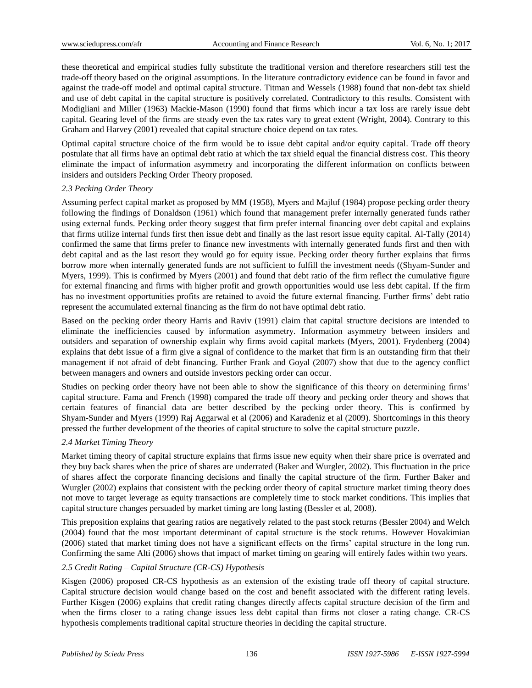these theoretical and empirical studies fully substitute the traditional version and therefore researchers still test the trade-off theory based on the original assumptions. In the literature contradictory evidence can be found in favor and against the trade-off model and optimal capital structure. Titman and Wessels (1988) found that non-debt tax shield and use of debt capital in the capital structure is positively correlated. Contradictory to this results. Consistent with Modigliani and Miller (1963) Mackie-Mason (1990) found that firms which incur a tax loss are rarely issue debt capital. Gearing level of the firms are steady even the tax rates vary to great extent (Wright, 2004). Contrary to this Graham and Harvey (2001) revealed that capital structure choice depend on tax rates.

Optimal capital structure choice of the firm would be to issue debt capital and/or equity capital. Trade off theory postulate that all firms have an optimal debt ratio at which the tax shield equal the financial distress cost. This theory eliminate the impact of information asymmetry and incorporating the different information on conflicts between insiders and outsiders Pecking Order Theory proposed.

## *2.3 Pecking Order Theory*

Assuming perfect capital market as proposed by MM (1958), Myers and Majluf (1984) propose pecking order theory following the findings of Donaldson (1961) which found that management prefer internally generated funds rather using external funds. Pecking order theory suggest that firm prefer internal financing over debt capital and explains that firms utilize internal funds first then issue debt and finally as the last resort issue equity capital. Al-Tally (2014) confirmed the same that firms prefer to finance new investments with internally generated funds first and then with debt capital and as the last resort they would go for equity issue. Pecking order theory further explains that firms borrow more when internally generated funds are not sufficient to fulfill the investment needs ((Shyam-Sunder and Myers, 1999). This is confirmed by Myers (2001) and found that debt ratio of the firm reflect the cumulative figure for external financing and firms with higher profit and growth opportunities would use less debt capital. If the firm has no investment opportunities profits are retained to avoid the future external financing. Further firms' debt ratio represent the accumulated external financing as the firm do not have optimal debt ratio.

Based on the pecking order theory Harris and Raviv (1991) claim that capital structure decisions are intended to eliminate the inefficiencies caused by information asymmetry. Information asymmetry between insiders and outsiders and separation of ownership explain why firms avoid capital markets (Myers, 2001). Frydenberg (2004) explains that debt issue of a firm give a signal of confidence to the market that firm is an outstanding firm that their management if not afraid of debt financing. Further Frank and Goyal (2007) show that due to the agency conflict between managers and owners and outside investors pecking order can occur.

Studies on pecking order theory have not been able to show the significance of this theory on determining firms' capital structure. Fama and French (1998) compared the trade off theory and pecking order theory and shows that certain features of financial data are better described by the pecking order theory. This is confirmed by Shyam-Sunder and Myers (1999) Raj Aggarwal et al (2006) and Karadeniz et al (2009). Shortcomings in this theory pressed the further development of the theories of capital structure to solve the capital structure puzzle.

# *2.4 Market Timing Theory*

Market timing theory of capital structure explains that firms issue new equity when their share price is overrated and they buy back shares when the price of shares are underrated (Baker and Wurgler, 2002). This fluctuation in the price of shares affect the corporate financing decisions and finally the capital structure of the firm. Further Baker and Wurgler (2002) explains that consistent with the pecking order theory of capital structure market timing theory does not move to target leverage as equity transactions are completely time to stock market conditions. This implies that capital structure changes persuaded by market timing are long lasting (Bessler et al, 2008).

This preposition explains that gearing ratios are negatively related to the past stock returns (Bessler 2004) and Welch (2004) found that the most important determinant of capital structure is the stock returns. However Hovakimian (2006) stated that market timing does not have a significant effects on the firms' capital structure in the long run. Confirming the same Alti (2006) shows that impact of market timing on gearing will entirely fades within two years.

# *2.5 Credit Rating – Capital Structure (CR-CS) Hypothesis*

Kisgen (2006) proposed CR-CS hypothesis as an extension of the existing trade off theory of capital structure. Capital structure decision would change based on the cost and benefit associated with the different rating levels. Further Kisgen (2006) explains that credit rating changes directly affects capital structure decision of the firm and when the firms closer to a rating change issues less debt capital than firms not closer a rating change. CR-CS hypothesis complements traditional capital structure theories in deciding the capital structure.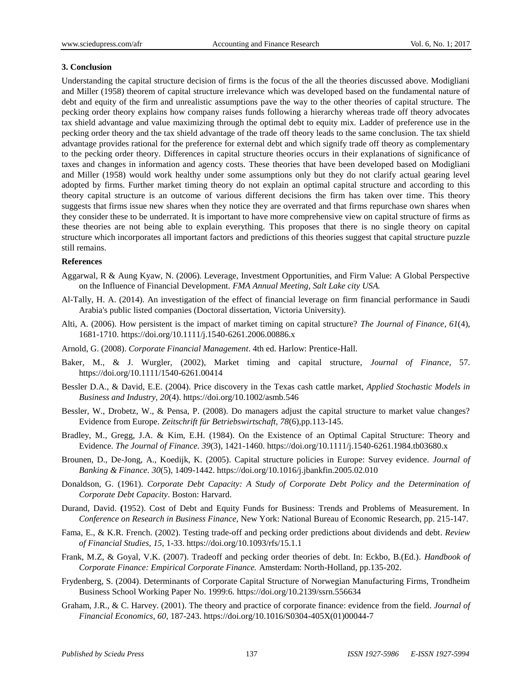### **3. Conclusion**

Understanding the capital structure decision of firms is the focus of the all the theories discussed above. Modigliani and Miller (1958) theorem of capital structure irrelevance which was developed based on the fundamental nature of debt and equity of the firm and unrealistic assumptions pave the way to the other theories of capital structure. The pecking order theory explains how company raises funds following a hierarchy whereas trade off theory advocates tax shield advantage and value maximizing through the optimal debt to equity mix. Ladder of preference use in the pecking order theory and the tax shield advantage of the trade off theory leads to the same conclusion. The tax shield advantage provides rational for the preference for external debt and which signify trade off theory as complementary to the pecking order theory. Differences in capital structure theories occurs in their explanations of significance of taxes and changes in information and agency costs. These theories that have been developed based on Modigliani and Miller (1958) would work healthy under some assumptions only but they do not clarify actual gearing level adopted by firms. Further market timing theory do not explain an optimal capital structure and according to this theory capital structure is an outcome of various different decisions the firm has taken over time. This theory suggests that firms issue new shares when they notice they are overrated and that firms repurchase own shares when they consider these to be underrated. It is important to have more comprehensive view on capital structure of firms as these theories are not being able to explain everything. This proposes that there is no single theory on capital structure which incorporates all important factors and predictions of this theories suggest that capital structure puzzle still remains.

#### **References**

- Aggarwal, R & Aung Kyaw, N. (2006). Leverage, Investment Opportunities, and Firm Value: A Global Perspective on the Influence of Financial Development. *FMA Annual Meeting, Salt Lake city USA.*
- Al-Tally, H. A. (2014). An investigation of the effect of financial leverage on firm financial performance in Saudi Arabia's public listed companies (Doctoral dissertation, Victoria University).
- Alti, A. (2006). How persistent is the impact of market timing on capital structure? *The Journal of Finance, 61*(4), 1681-1710.<https://doi.org/10.1111/j.1540-6261.2006.00886.x>
- Arnold, G. (2008). *Corporate Financial Management*. 4th ed. Harlow: Prentice-Hall.
- Baker, M., & J. Wurgler, (2002), Market timing and capital structure, *Journal of Finance,* 57. <https://doi.org/10.1111/1540-6261.00414>
- Bessler D.A., & David, E.E. (2004). Price discovery in the Texas cash cattle market, *Applied Stochastic Models in Business and Industry, 20*(4).<https://doi.org/10.1002/asmb.546>
- Bessler, W., Drobetz, W., & Pensa, P. (2008). Do managers adjust the capital structure to market value changes? Evidence from Europe. *Zeitschrift für Betriebswirtschaft, 78*(6),pp.113-145.
- Bradley, M., Gregg, J.A. & Kim, E.H. (1984). On the Existence of an Optimal Capital Structure: Theory and Evidence. *The Journal of Finance. 39*(3), 1421-1460.<https://doi.org/10.1111/j.1540-6261.1984.tb03680.x>
- Brounen, D., De-Jong, A., Koedijk, K. (2005). Capital structure policies in Europe: Survey evidence. *Journal of Banking & Finance. 30*(5), 1409-1442.<https://doi.org/10.1016/j.jbankfin.2005.02.010>
- Donaldson, G. (1961). *Corporate Debt Capacity: A Study of Corporate Debt Policy and the Determination of Corporate Debt Capacity*. Boston: Harvard.
- Durand, David. **(**1952). Cost of Debt and Equity Funds for Business: Trends and Problems of Measurement. In *Conference on Research in Business Finance,* New York: National Bureau of Economic Research, pp. 215-147.
- Fama, E., & K.R. French. (2002). Testing trade-off and pecking order predictions about dividends and debt. *Review of Financial Studies, 15*, 1-33. <https://doi.org/10.1093/rfs/15.1.1>
- Frank, M.Z, & Goyal, V.K. (2007). Tradeoff and pecking order theories of debt. In: Eckbo, B.(Ed.). *Handbook of Corporate Finance: Empirical Corporate Finance.* Amsterdam: North-Holland, pp.135-202.
- Frydenberg, S. (2004). Determinants of Corporate Capital Structure of Norwegian Manufacturing Firms, Trondheim Business School Working Paper No. 1999:6[. https://doi.org/10.2139/ssrn.556634](https://doi.org/10.2139/ssrn.556634)
- Graham, J.R., & C. Harvey. (2001). The theory and practice of corporate finance: evidence from the field. *Journal of Financial Economics, 60*, 187-243. [https://doi.org/10.1016/S0304-405X\(01\)00044-7](https://doi.org/10.1016/S0304-405X(01)00044-7)